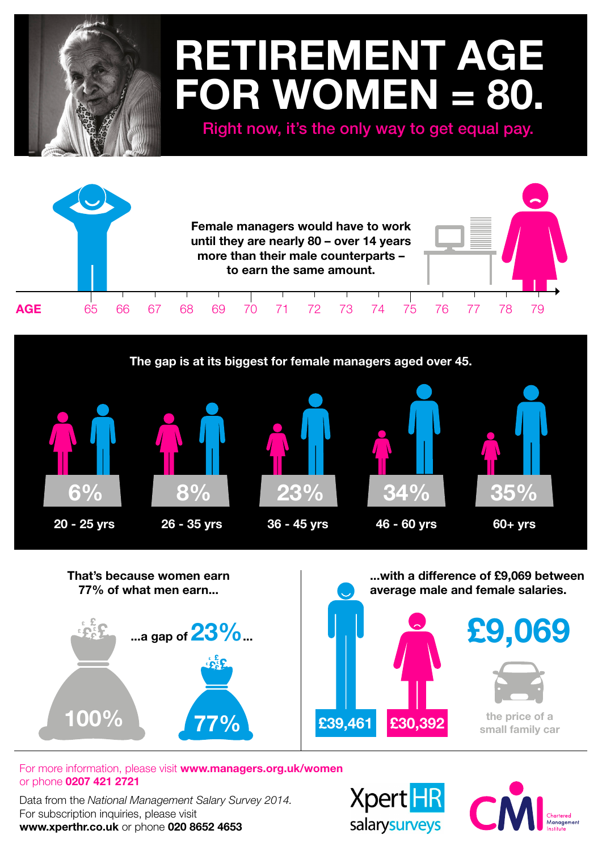## **RETIREMENT AGE FOR WOMEN = 80.**

Right now, it's the only way to get equal pay.







For more information, please visit **www.managers.org.uk/women** or phone **0207 421 2721**

Data from the *National Management Salary Survey 2014.* For subscription inquiries, please visit **www.xperthr.co.uk** or phone **020 8652 4653**